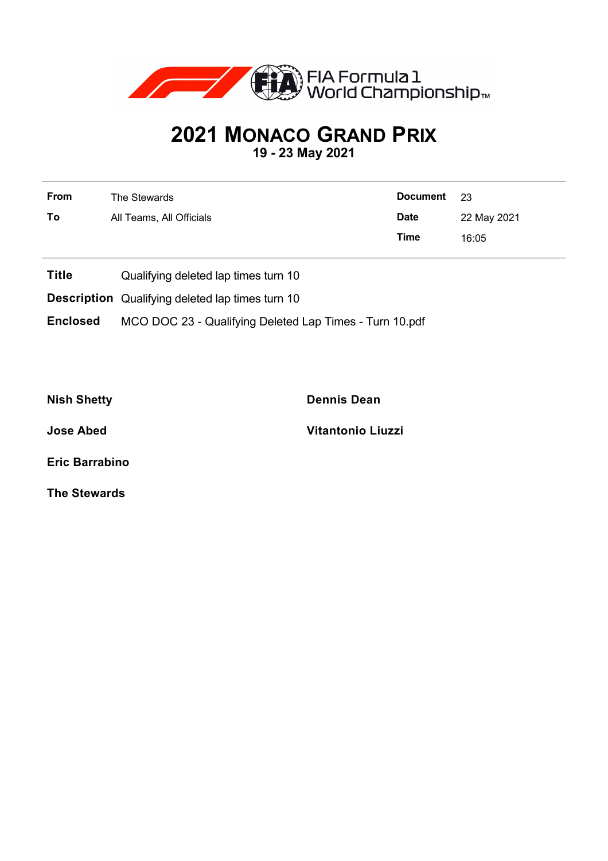

## **2021 MONACO GRAND PRIX**

**19 - 23 May 2021**

| From | The Stewards             | Document 23 |             |
|------|--------------------------|-------------|-------------|
| To   | All Teams, All Officials | <b>Date</b> | 22 May 2021 |
|      |                          | Time        | 16:05       |

- **Title** Qualifying deleted lap times turn 10
- **Description** Qualifying deleted lap times turn 10

**Enclosed** MCO DOC 23 - Qualifying Deleted Lap Times - Turn 10.pdf

**Nish Shetty Dennis Dean**

**Jose Abed Vitantonio Liuzzi**

**Eric Barrabino**

**The Stewards**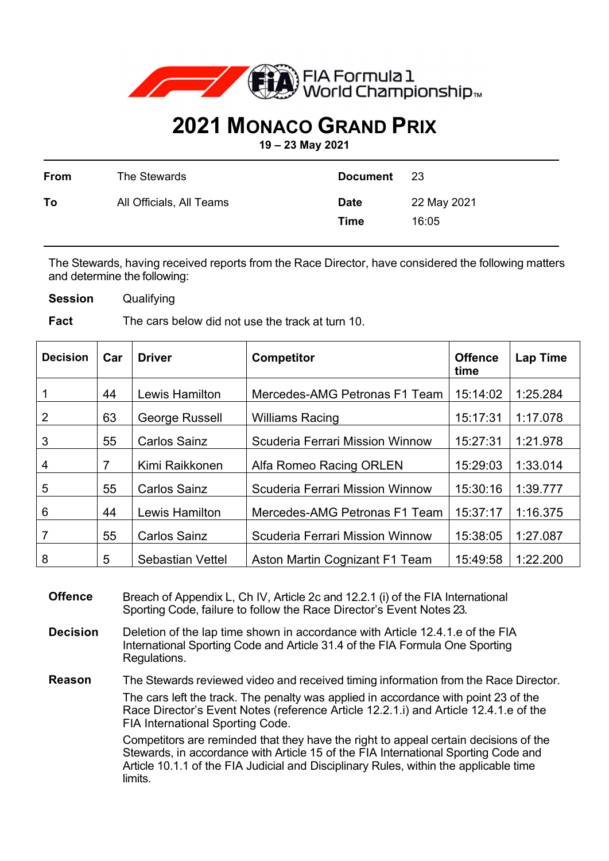

## **2021 MONACO GRAND PRIX**

**19 – 23 May 2021** 

| From | The Stewards             | <b>Document</b>     | -23                  |
|------|--------------------------|---------------------|----------------------|
| To   | All Officials, All Teams | <b>Date</b><br>Time | 22 May 2021<br>16:05 |

The Stewards, having received reports from the Race Director, have considered the following matters and determine the following:

**Session** Qualifying

**Fact** The cars below did not use the track at turn 10.

| <b>Decision</b> | Car | <b>Driver</b>           | <b>Competitor</b>                      | <b>Offence</b><br>time | <b>Lap Time</b> |
|-----------------|-----|-------------------------|----------------------------------------|------------------------|-----------------|
|                 | 44  | Lewis Hamilton          | Mercedes-AMG Petronas F1 Team          | 15:14:02               | 1:25.284        |
| $\overline{2}$  | 63  | George Russell          | <b>Williams Racing</b>                 | 15:17:31               | 1:17.078        |
| 3               | 55  | <b>Carlos Sainz</b>     | <b>Scuderia Ferrari Mission Winnow</b> | 15:27:31               | 1:21.978        |
| $\overline{4}$  | 7   | Kimi Raikkonen          | Alfa Romeo Racing ORLEN                | 15:29:03               | 1:33.014        |
| 5               | 55  | <b>Carlos Sainz</b>     | <b>Scuderia Ferrari Mission Winnow</b> | 15:30:16               | 1:39.777        |
| 6               | 44  | Lewis Hamilton          | Mercedes-AMG Petronas F1 Team          | 15:37:17               | 1:16.375        |
| 7               | 55  | <b>Carlos Sainz</b>     | <b>Scuderia Ferrari Mission Winnow</b> | 15:38:05               | 1:27.087        |
| 8               | 5   | <b>Sebastian Vettel</b> | Aston Martin Cognizant F1 Team         | 15:49:58               | 1:22.200        |

**Offence** Breach of Appendix L, Ch IV, Article 2c and 12.2.1 (i) of the FIA International Sporting Code, failure to follow the Race Director's Event Notes 23.

**Decision** Deletion of the lap time shown in accordance with Article 12.4.1.e of the FIA International Sporting Code and Article 31.4 of the FIA Formula One Sporting Regulations.

**Reason** The Stewards reviewed video and received timing information from the Race Director. The cars left the track. The penalty was applied in accordance with point 23 of the Race Director's Event Notes (reference Article 12.2.1.i) and Article 12.4.1.e of the FIA International Sporting Code.

> Competitors are reminded that they have the right to appeal certain decisions of the Stewards, in accordance with Article 15 of the FIA International Sporting Code and Article 10.1.1 of the FIA Judicial and Disciplinary Rules, within the applicable time limits.